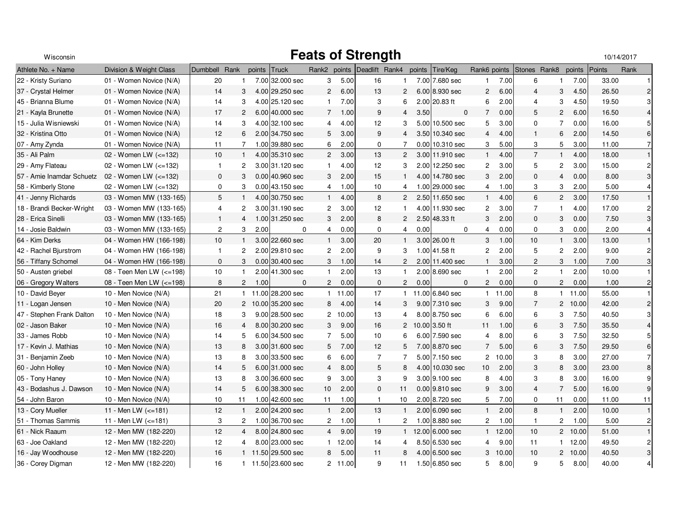| Wisconsin                 | <b>Feats of Strength</b> |                |                |        |                    |                         |         |                             |                |        |                   | 10/14/2017     |       |                 |                       |         |        |                  |
|---------------------------|--------------------------|----------------|----------------|--------|--------------------|-------------------------|---------|-----------------------------|----------------|--------|-------------------|----------------|-------|-----------------|-----------------------|---------|--------|------------------|
| Athlete No. + Name        | Division & Weight Class  | Dumbbell Rank  |                | points | Truck              |                         |         | Rank2 points Deadlift Rank4 |                | points | Tire/Keg          | Rank6 points   |       | Stones Rank8    |                       | points  | Points | Rank             |
| 22 - Kristy Suriano       | 01 - Women Novice (N/A)  | 20             | $\mathbf{1}$   |        | 7.00 32.000 sec    | 3                       | 5.00    | 16                          | 1              |        | 7.00 7.680 sec    | 1              | 7.00  | 6               | $\mathbf{1}$          | 7.00    | 33.00  |                  |
| 37 - Crystal Helmer       | 01 - Women Novice (N/A)  | 14             | 3              |        | 4.00 29.250 sec    | $\mathbf{2}$            | 6.00    | 13                          | $\overline{2}$ |        | 6.00 8.930 sec    | $\overline{2}$ | 6.00  | $\overline{4}$  | 3                     | 4.50    | 26.50  | $\overline{2}$   |
| 45 - Brianna Blume        | 01 - Women Novice (N/A)  | 14             | 3              |        | 4.00 25.120 sec    | $\mathbf{1}$            | 7.00    | 3                           | 6              |        | 2.00 20.83 ft     | 6              | 2.00  | 4               | 3                     | 4.50    | 19.50  | 3                |
| 21 - Kayla Brunette       | 01 - Women Novice (N/A)  | 17             | $\overline{2}$ |        | 6.00 40.000 sec    | $7^{\circ}$             | 1.00    | 9                           | 4              | 3.50   | $\mathbf{0}$      | $\overline{7}$ | 0.00  | 5               | $\overline{2}$        | 6.00    | 16.50  | $\overline{4}$   |
| 15 - Julia Wisniewski     | 01 - Women Novice (N/A)  | 14             | 3              |        | 4.00 32.100 sec    | $\overline{4}$          | 4.00    | 12                          | 3              | 5.00   | 10.500 sec        | 5              | 3.00  | $\mathbf 0$     | $\overline{7}$        | 0.00    | 16.00  | 5                |
| 32 - Kristina Otto        | 01 - Women Novice (N/A)  | 12             | 6              |        | 2.00 34.750 sec    | 5                       | 3.00    | 9                           | 4              |        | 3.50 10.340 sec   | 4              | 4.00  | $\overline{1}$  | 6                     | 2.00    | 14.50  | 6                |
| 07 - Amy Zynda            | 01 - Women Novice (N/A)  | 11             | $\overline{7}$ |        | 1.00 39.880 sec    | 6                       | 2.00    | 0                           | $\overline{7}$ |        | 0.00 10.310 sec   | 3              | 5.00  | 3               | $5\phantom{.0}$       | 3.00    | 11.00  | $\overline{7}$   |
| 35 - Ali Palm             | 02 - Women LW $(<=132)$  | 10             | $\mathbf{1}$   |        | 4.00 35.310 sec    | $\mathbf{2}$            | 3.00    | 13                          | $\overline{2}$ |        | 3.00 11.910 sec   | $\mathbf{1}$   | 4.00  | $\overline{7}$  | $\mathbf{1}$          | 4.00    | 18.00  | $\mathbf{1}$     |
| 29 - Amy Flateau          | 02 - Women LW $(<=132)$  | $\mathbf{1}$   | $\overline{2}$ |        | 3.00 31.120 sec    | $\mathbf{1}$            | 4.00    | 12 <sup>2</sup>             | 3              |        | 2.00 12.250 sec   | $\overline{c}$ | 3.00  | 5               | $\overline{c}$        | 3.00    | 15.00  | $\overline{c}$   |
| 57 - Amie Inamdar Schuetz | 02 - Women LW (<=132)    | 0              | 3              |        | 0.00 40.960 sec    | 3                       | 2.00    | 15                          | $\mathbf{1}$   |        | 4.00 14.780 sec   | 3              | 2.00  | $\mathbf 0$     | $\overline{4}$        | 0.00    | 8.00   | $\mathbf{3}$     |
| 58 - Kimberly Stone       | 02 - Women LW (<=132)    | $\mathbf 0$    | 3              |        | 0.00 43.150 sec    | $\overline{4}$          | 1.00    | 10 <sup>1</sup>             | 4              |        | 1.00 29.000 sec   | 4              | 1.00  | 3               | 3                     | 2.00    | 5.00   | 4                |
| 41 - Jenny Richards       | 03 - Women MW (133-165)  | 5              | $\mathbf{1}$   |        | 4.00 30.750 sec    | $\mathbf{1}$            | 4.00    | 8                           | $\overline{2}$ |        | 2.50 11.650 sec   | $\mathbf{1}$   | 4.00  | 6               | $\overline{2}$        | 3.00    | 17.50  | $\mathbf{1}$     |
| 18 - Brandi Becker-Wright | 03 - Women MW (133-165)  | 4              | $\overline{c}$ |        | 3.00 31.190 sec    | $\overline{\mathbf{c}}$ | 3.00    | 12                          |                |        | 4.00 11.930 sec   | $\overline{c}$ | 3.00  | $\overline{7}$  | $\mathbf{1}$          | 4.00    | 17.00  | $\overline{c}$   |
| 28 - Erica Sinelli        | 03 - Women MW (133-165)  | $\mathbf{1}$   | $\overline{4}$ |        | 1.00 31.250 sec    | 3                       | 2.00    | 8                           | 2              |        | 2.50 48.33 ft     | 3              | 2.00  | $\mathbf 0$     | 3                     | 0.00    | 7.50   | 3                |
| 14 - Josie Baldwin        | 03 - Women MW (133-165)  | $\overline{c}$ | 3              | 2.00   | $\mathbf 0$        | $\overline{4}$          | 0.00    | $\mathbf 0$                 | $\overline{4}$ | 0.00   | $\mathbf 0$       | 4              | 0.00  | $\mathbf 0$     | 3                     | 0.00    | 2.00   | $\overline{4}$   |
| 64 - Kim Derks            | 04 - Women HW (166-198)  | 10             | $\mathbf{1}$   |        | 3.00 22.660 sec    | 1                       | 3.00    | 20                          | -1             |        | 3.00 26.00 ft     | 3              | 1.00  | 10 <sup>1</sup> | $\mathbf{1}$          | 3.00    | 13.00  |                  |
| 42 - Rachel Bjurstrom     | 04 - Women HW (166-198)  | $\mathbf{1}$   | $\overline{c}$ |        | 2.00 29.810 sec    | $\overline{c}$          | 2.00    | 9                           | 3              |        | 1.00 41.58 ft     | $\overline{2}$ | 2.00  | 5               | $\overline{c}$        | 2.00    | 9.00   | $\overline{c}$   |
| 56 - Tiffany Schomel      | 04 - Women HW (166-198)  | $\mathbf 0$    | 3              |        | $0.00$ 30.400 sec  | 3                       | 1.00    | 14                          | $\overline{2}$ |        | 2.00 11.400 sec   | $\mathbf{1}$   | 3.00  | 2               | 3                     | 1.00    | 7.00   | $\sqrt{3}$       |
| 50 - Austen griebel       | 08 - Teen Men LW (<=198) | 10             | $\mathbf{1}$   |        | 2.00 41.300 sec    | $\mathbf{1}$            | 2.00    | 13                          | $\overline{1}$ |        | 2.00 8.690 sec    | $\mathbf{1}$   | 2.00  | $\overline{2}$  | $\mathbf{1}$          | 2.00    | 10.00  | $\mathbf{1}$     |
| 06 - Gregory Walters      | 08 - Teen Men LW (<=198) | 8              | $\mathbf{2}$   | 1.00   | $\Omega$           | $\mathbf{2}$            | 0.00    | 0                           | $\overline{2}$ | 0.00   | $\Omega$          | $\overline{2}$ | 0.00  | $\mathbf 0$     | $\overline{2}$        | 0.00    | 1.00   | $\overline{c}$   |
| 10 - David Beyer          | 10 - Men Novice (N/A)    | 21             |                |        | 1 11.00 28.200 sec |                         | 1 11.00 | 17                          |                |        | 1 11.00 6.840 sec | $\mathbf{1}$   | 11.00 | 8               | $\mathbf{1}$          | 11.00   | 55.00  | $\mathbf{1}$     |
| 11 - Logan Jensen         | 10 - Men Novice (N/A)    | 20             |                |        | 2 10.00 35.200 sec | 8                       | 4.00    | 14                          | 3              |        | 9.00 7.310 sec    | 3              | 9.00  | $\overline{7}$  | $\mathbf{2}^{\prime}$ | 10.00   | 42.00  | $\overline{c}$   |
| 47 - Stephen Frank Dalton | 10 - Men Novice (N/A)    | 18             | 3              |        | 9.00 28.500 sec    | $\mathbf{2}$            | 10.00   | 13                          | 4              |        | 8.00 8.750 sec    | 6              | 6.00  | 6               | 3                     | 7.50    | 40.50  | 3                |
| 02 - Jason Baker          | 10 - Men Novice (N/A)    | 16             | $\overline{4}$ |        | 8.00 30.200 sec    | 3                       | 9.00    | 16                          |                |        | 2 10.00 3.50 ft   | 11             | 1.00  | 6               | 3                     | 7.50    | 35.50  | $\overline{4}$   |
| 33 - James Robb           | 10 - Men Novice (N/A)    | 14             | 5              |        | 6.00 34.500 sec    | $\overline{7}$          | 5.00    | 10                          | 6              |        | $6.00$ 7.590 sec  | $\overline{4}$ | 8.00  | 6               | 3                     | 7.50    | 32.50  | 5                |
| 17 - Kevin J. Mathias     | 10 - Men Novice (N/A)    | 13             | 8              |        | 3.00 31.600 sec    | 5                       | 7.00    | 12 <sup>2</sup>             | 5              |        | 7.00 8.870 sec    | $\overline{7}$ | 5.00  | 6               | 3                     | 7.50    | 29.50  | $6\phantom{a}$   |
| 31 - Benjamin Zeeb        | 10 - Men Novice (N/A)    | 13             | 8              |        | 3.00 33.500 sec    | 6                       | 6.00    | $\overline{7}$              | $\overline{7}$ |        | 5.00 7.150 sec    | $\overline{c}$ | 10.00 | 3               | 8                     | 3.00    | 27.00  | $\overline{7}$   |
| 60 - John Holley          | 10 - Men Novice (N/A)    | 14             | 5              |        | 6.00 31.000 sec    | $\overline{4}$          | 8.00    | 5                           | 8              |        | 4.00 10.030 sec   | 10             | 2.00  | 3               | 8                     | 3.00    | 23.00  | 8                |
| 05 - Tony Haney           | 10 - Men Novice (N/A)    | 13             | 8              |        | 3.00 36.600 sec    | 9                       | 3.00    | 3                           | 9              |        | 3.00 9.100 sec    | 8              | 4.00  | 3               | 8                     | 3.00    | 16.00  | 9                |
| 43 - Bodashus J. Dawson   | 10 - Men Novice (N/A)    | 14             | 5              |        | 6.00 38.300 sec    | 10                      | 2.00    | 0                           | 11             |        | $0.00$ 9.810 sec  | 9              | 3.00  | $\overline{4}$  | $\overline{7}$        | 5.00    | 16.00  | $\boldsymbol{9}$ |
| 54 - John Baron           | 10 - Men Novice (N/A)    | 10             | 11             |        | 1.00 42.600 sec    | 11                      | 1.00    | $\mathbf{1}$                | 10             |        | 2.00 8.720 sec    | 5              | 7.00  | 0               | 11                    | 0.00    | 11.00  | 11               |
| 13 - Cory Mueller         | 11 - Men LW $(<=181)$    | 12             | $\mathbf{1}$   |        | 2.00 24.200 sec    | $\mathbf{1}$            | 2.00    | 13                          | -1             |        | 2.00 6.090 sec    | 1              | 2.00  | 8               | $\mathbf{1}$          | 2.00    | 10.00  | $\overline{1}$   |
| 51 - Thomas Sammis        | 11 - Men LW $(<=181)$    | 3              | $\overline{2}$ |        | 1.00 36.700 sec    | $\overline{2}$          | 1.00    | $\overline{1}$              | $\overline{2}$ |        | 1.00 8.880 sec    | $\overline{2}$ | 1.00  | $\overline{1}$  | $\overline{2}$        | 1.00    | 5.00   | $\overline{c}$   |
| 61 - Nick Raaum           | 12 - Men MW (182-220)    | 12             | $\overline{4}$ |        | 8.00 24.800 sec    | $\overline{4}$          | 9.00    | 19                          | $\bullet$      |        | 12.00 6.000 sec   | $\mathbf{1}$   | 12.00 | 10              |                       | 2 10.00 | 51.00  | $\mathbf{1}$     |
| 63 - Joe Oakland          | 12 - Men MW (182-220)    | 12             | 4              |        | 8.00 23.000 sec    |                         | 1 12.00 | 14                          | 4              |        | 8.50 6.530 sec    | 4              | 9.00  | 11              | $\mathbf{1}$          | 12.00   | 49.50  | $\overline{c}$   |
| 16 - Jay Woodhouse        | 12 - Men MW (182-220)    | 16             |                |        | 1 11.50 29.500 sec | 8                       | 5.00    | 11                          | 8              |        | 4.00 6.500 sec    | 3              | 10.00 | 10              | $\overline{2}$        | 10.00   | 40.50  | 3                |
| 36 - Corey Digman         | 12 - Men MW (182-220)    | 16             |                |        | 1 11.50 23.600 sec |                         | 2 11.00 | 9                           | 11             |        | 1.50 6.850 sec    | 5              | 8.00  | 9               | 5                     | 8.00    | 40.00  | 4                |